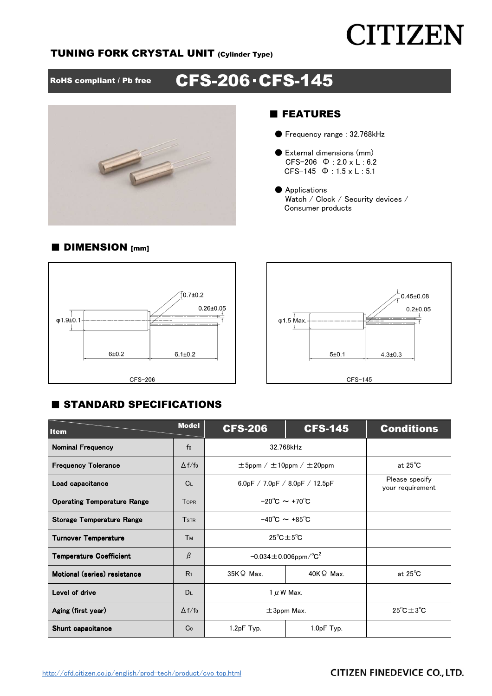# **CITIZEN**

## TUNING FORK CRYSTAL UNIT (Cylinder Type)

RoHS compliant / Pb free CFS-206 · CFS-145



## ■ FEATURES

- Frequency range : 32.768kHz
- External dimensions (mm) CFS-206 Φ : 2.0 x L : 6.2 CFS-145 Φ : 1.5 x L : 5.1
- Applications Watch / Clock / Security devices / Consumer products





## **E STANDARD SPECIFICATIONS**

| <b>Item</b>                        | <b>Model</b>   | <b>CFS-206</b>                                      | <b>CFS-145</b>                      | <b>Conditions</b> |
|------------------------------------|----------------|-----------------------------------------------------|-------------------------------------|-------------------|
| <b>Nominal Frequency</b>           | f <sub>0</sub> | 32.768kHz                                           |                                     |                   |
| <b>Frequency Tolerance</b>         | $\Delta f/f_0$ | $\pm 5$ ppm / $\pm 10$ ppm / $\pm 20$ ppm           | at $25^{\circ}$ C                   |                   |
| Load capacitance                   | C <sub>L</sub> | 6.0pF / 7.0pF / 8.0pF / 12.5pF                      | Please specify<br>your requirement  |                   |
| <b>Operating Temperature Range</b> | <b>TOPR</b>    | $-20^{\circ}$ C $\sim +70^{\circ}$ C                |                                     |                   |
| <b>Storage Temperature Range</b>   | <b>TSTR</b>    | $-40^{\circ}$ C $\sim +85^{\circ}$ C                |                                     |                   |
| <b>Turnover Temperature</b>        | <b>Тм</b>      | $25^{\circ}$ C $\pm 5^{\circ}$ C                    |                                     |                   |
| <b>Temperature Coefficient</b>     | β              | $-0.034 \pm 0.006$ ppm $\textdegree$ C <sup>2</sup> |                                     |                   |
| Motional (series) resistance       | R <sub>1</sub> | $35K\Omega$ Max.                                    | $40K\Omega$ Max.                    | at $25^{\circ}$ C |
| Level of drive                     | <b>DL</b>      | $1 \mu$ W Max.                                      |                                     |                   |
| Aging (first year)                 | $\Delta f/f_0$ | $\pm$ 3ppm Max.                                     | $25^{\circ}$ C $\pm$ 3 $^{\circ}$ C |                   |
| Shunt capacitance                  | Co             | 1.2pF Typ.                                          | 1.0pF Typ.                          |                   |

## ■ DIMENSION [mm]